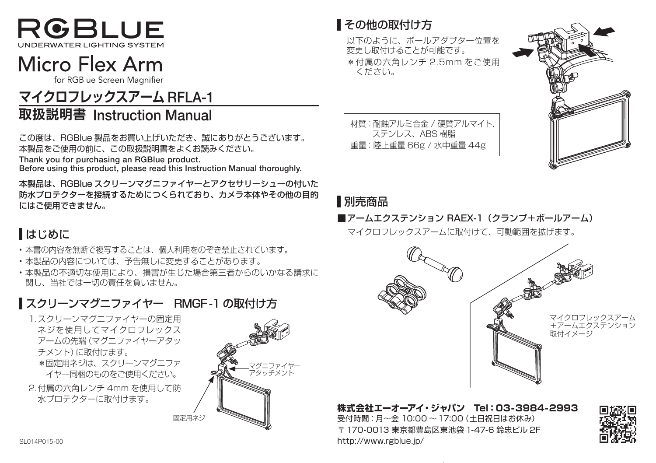

# Micro Flex Arm

for RGBlue Screen Magnifier

# -1RFLA **マイクロフレックスアーム**

# Manual Instruction **取扱説明書**

この度は、RGBlue 製品をお買い上げいただき、誠にありがとうございます。 本製品をご使用の前に、この取扱説明書をよくお読みください。

Thank you for purchasing an RGBlue product.

Before using this product, please read this Instruction Manual thoroughly.

本製品は、RGBlue スクリーンマグニファイヤーとアクセサリーシューの付いた 防水プロテクターを接続するためにつくられており、カメラ本体やその他の目的 。にはご使用できません

## はじめに

- •本書の内容を無断で複写することは、個人利用をのぞき禁止されています。
- •本製品の内容については、予告無しに変更することがあります。

•本製品の不適切な使用により、損害が生じた場合第三者からのいかなる請求に 関し、当社では一切の責任を負いません。

## ■スクリーンマグニファイヤー RMGF-1 の取付け方

1.スクリーンマグニファイヤーの固定用 ネジを使用してマイクロフレックス アームの先端 (マグニファイヤーアタッ チメント)に取付けます。 \*固定用ネジは、スクリーンマグニファ イヤー同梱のものをご使用ください。 2. 付属の六角レンチ 4mm を使用して防 水プロテクターに取付けます。

固定用ネジ

マグニファイヤー アタッチメント



以下のように、ボールアダプター位置を 変更し取付けることが可能です。 \* 付属の六角レンチ 2.5mm をご使用 。ください

材質:耐蝕アルミ合金 / 硬質アルマイト、 ステンレス、ABS 樹脂 重量: 陸上重量 66g / 水中重量 44g



### ■別売商品

■アームエクステンション RAFX-1 (クランプ+ボールアーム) マイクロフレックスアームに取付けて、可動範囲を拡げます。



株式会社エーオーアイ・ジャパン Tel:03-3984-2993 受付時間: 月~金 10:00 ~ 17:00 (土日祝日はお休み) 〒 170-0013 東京都豊島区東池袋 1-47-6 鈴忠ビル 2F sionapons-00<br>Politics of the contract of the contract of the contract of the contract of the contract of the contract of the contract of the contract of the contract of the contract of the contract of the contract of the c